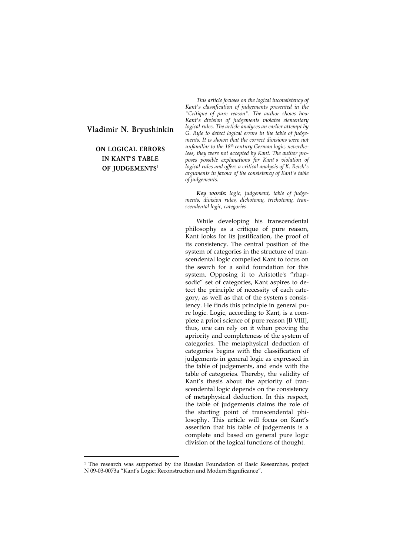# **Vladimir N. Bryushinkin**

**ON LOGICAL ERRORS IN KANT'S TABLE OF JUDGEMENTS**<sup>1</sup>

 $\overline{a}$ 

*This article focuses on the logical inconsistency of Kant's classification of judgements presented in the "Critique of pure reason". The author shows how Kant's division of judgements violates elementary logical rules. The article analyses an earlier attempt by G. Ryle to detect logical errors in the table of judgements. It is shown that the correct divisions were not unfamiliar to the 18th century German logic, nevertheless, they were not accepted by Kant. The author proposes possible explanations for Kant's violation of logical rules and offers a critical analysis of K. Reich's arguments in favour of the consistency of Kant's table of judgements.* 

*Key words: logic, judgement, table of judgements, division rules, dichotomy, trichotomy, transcendental logic, categories.* 

While developing his transcendental philosophy as a critique of pure reason, Kant looks for its justification, the proof of its consistency. The central position of the system of categories in the structure of transcendental logic compelled Kant to focus on the search for a solid foundation for this system. Opposing it to Aristotle's "rhapsodic" set of categories, Kant aspires to detect the principle of necessity of each category, as well as that of the system's consistency. He finds this principle in general pure logic. Logic, according to Kant, is a complete a priori science of pure reason [B VIII], thus, one can rely on it when proving the apriority and completeness of the system of categories. The metaphysical deduction of categories begins with the classification of judgements in general logic as expressed in the table of judgements, and ends with the table of categories. Thereby, the validity of Kant's thesis about the apriority of transcendental logic depends on the consistency of metaphysical deduction. In this respect, the table of judgements claims the role of the starting point of transcendental philosophy. This article will focus on Kant's assertion that his table of judgements is a complete and based on general pure logic division of the logical functions of thought.

<sup>1</sup> The research was supported by the Russian Foundation of Basic Researches, project N 09-03-0073а "Kant's Logic: Reconstruction and Modern Significance".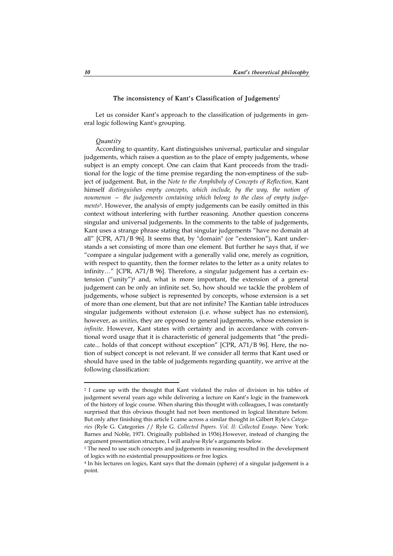# The inconsistency of Kant's Classification of Judgements<sup>2</sup>

Let us consider Kant's approach to the classification of judgements in general logic following Kant's grouping.

### *Quantity*

According to quantity, Kant distinguishes universal, particular and singular judgements, which raises a question as to the place of empty judgements, whose subject is an empty concept. One can claim that Kant proceeds from the traditional for the logic of the time premise regarding the non-emptiness of the subject of judgement. But, in the *Note to the Amphiboly of Concepts of Reflection,* Kant himself *distinguishes empty concepts, which include, by the way, the notion of noumenon — the judgements containing which belong to the class of empty judgements*3. However, the analysis of empty judgements can be easily omitted in this context without interfering with further reasoning. Another question concerns singular and universal judgements. In the comments to the table of judgements, Kant uses a strange phrase stating that singular judgements "have no domain at all" [CPR, A71/B 96]. It seems that, by "domain" (or "extension"), Kant understands a set consisting of more than one element. But further he says that, if we "compare a singular judgement with a generally valid one, merely as cognition, with respect to quantity, then the former relates to the letter as a unity relates to infinity…" [CPR, A71/B 96]. Therefore, a singular judgement has a certain extension ("unity")4 and, what is more important, the extension of a general judgement can be only an infinite set. So, how should we tackle the problem of judgements, whose subject is represented by concepts, whose extension is a set of more than one element, but that are not infinite? The Kantian table introduces singular judgements without extension (i.e. whose subject has no extension), however, as *unities*, they are opposed to general judgements, whose extension is *infinite*. However, Kant states with certainty and in accordance with conventional word usage that it is characteristic of general judgements that "the predicate... holds of that concept without exception" [CPR, A71/B 96]. Here, the notion of subject concept is not relevant. If we consider all terms that Kant used or should have used in the table of judgements regarding quantity, we arrive at the following classification:

<sup>2</sup> I came up with the thought that Kant violated the rules of division in his tables of judgement several years ago while delivering a lecture on Kant's logic in the framework of the history of logic course. When sharing this thought with colleagues, I was constantly surprised that this obvious thought had not been mentioned in logical literature before. But only after finishing this article I came across a similar thought in Gilbert Ryle's *Categories* (Ryle G. Categories // Ryle G. *Collected Papers. Vol. II: Collected Essays.* New York: Barnes and Noble, 1971. Originally published in 1936).However, instead of changing the argument presentation structure, I will analyse Ryle's arguments below.

<sup>&</sup>lt;sup>3</sup> The need to use such concepts and judgements in reasoning resulted in the development of logics with no existential presuppositions or free logics.

<sup>4</sup> In his lectures on logics, Kant says that the domain (sphere) of a singular judgement is a point.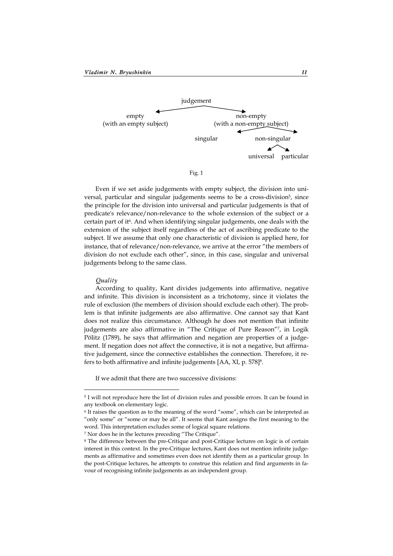

Fig. 1

Even if we set aside judgements with empty subject, the division into universal, particular and singular judgements seems to be a cross-division<sup>5</sup>, since the principle for the division into universal and particular judgements is that of predicate's relevance/non-relevance to the whole extension of the subject or a certain part of it<sup>6</sup>. And when identifying singular judgements, one deals with the extension of the subject itself regardless of the act of ascribing predicate to the subject. If we assume that only one characteristic of division is applied here, for instance, that of relevance/non-relevance, we arrive at the error "the members of division do not exclude each other", since, in this case, singular and universal judgements belong to the same class.

#### *Quality*

 $\overline{a}$ 

According to quality, Kant divides judgements into affirmative, negative and infinite. This division is inconsistent as a trichotomy, since it violates the rule of exclusion (the members of division should exclude each other). The problem is that infinite judgements are also affirmative. One cannot say that Kant does not realize this circumstance. Although he does not mention that infinite judgements are also affirmative in "The Critique of Pure Reason"7, in Logik Pölitz (1789), he says that affirmation and negation are properties of a judgement. If negation does not affect the connective, it is not a negative, but affirmative judgement, since the connective establishes the connection. Therefore, it refers to both affirmative and infinite judgements [AA, XI, p. 578]8.

If we admit that there are two successive divisions:

7 Nor does he in the lectures preceding "The Critique".

<sup>5</sup> I will not reproduce here the list of division rules and possible errors. It can be found in any textbook on elementary logic.

<sup>6</sup> It raises the question as to the meaning of the word "some", which can be interpreted as "only some" or "some or may be all". It seems that Kant assigns the first meaning to the word. This interpretation excludes some of logical square relations.

<sup>8</sup> The difference between the pre-Critique and post-Critique lectures on logic is of certain interest in this context. In the pre-Critique lectures, Kant does not mention infinite judgements as affirmative and sometimes even does not identify them as a particular group. In the post-Critique lectures, he attempts to construe this relation and find arguments in favour of recognising infinite judgements as an independent group.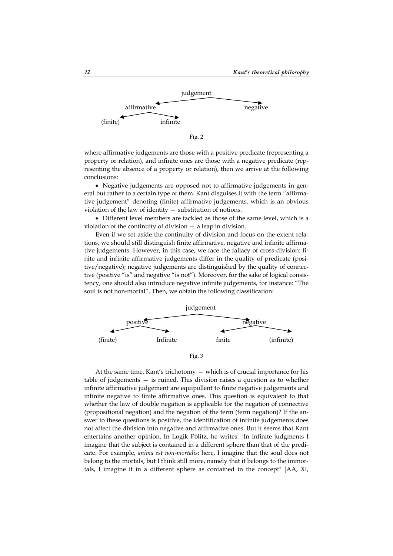

Fig. 2

where affirmative judgements are those with a positive predicate (representing a property or relation), and infinite ones are those with a negative predicate (representing the absence of a property or relation), then we arrive at the following conclusions:

 Negative judgements are opposed not to affirmative judgements in general but rather to a certain type of them. Kant disguises it with the term "affirmative judgement" denoting (finite) affirmative judgements, which is an obvious violation of the law of identity — substitution of notions.

 Different level members are tackled as those of the same level, which is a violation of the continuity of division — a leap in division.

Even if we set aside the continuity of division and focus on the extent relations, we should still distinguish finite affirmative, negative and infinite affirmative judgements. However, in this case, we face the fallacy of cross-division: finite and infinite affirmative judgements differ in the quality of predicate (positive/negative); negative judgements are distinguished by the quality of connective (positive "is" and negative "is not"). Moreover, for the sake of logical consistency, one should also introduce negative infinite judgements, for instance: "The soul is not non-mortal". Then, we obtain the following classification:





At the same time, Kant's trichotomy — which is of crucial importance for his table of judgements — is ruined. This division raises a question as to whether infinite affirmative judgement are equipollent to finite negative judgements and infinite negative to finite affirmative ones. This question is equivalent to that whether the law of double negation is applicable for the negation of connective (propositional negation) and the negation of the term (term negation)? If the answer to these questions is positive, the identification of infinite judgements does not affect the division into negative and affirmative ones. But it seems that Kant entertains another opinion. In Logik Pölitz, he writes: "In infinite judgments I imagine that the subject is contained in a different sphere than that of the predicate. For example, *anima est non-mortalis*; here, I imagine that the soul does not belong to the mortals, but I think still more, namely that it belongs to the immortals, I imagine it in a different sphere as contained in the concept" [AA, XI,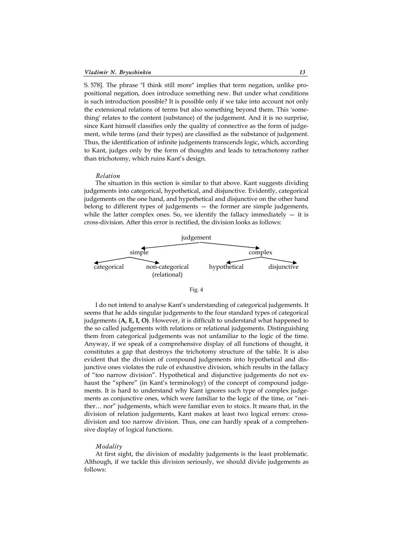S. 578]. The phrase "I think still more" implies that term negation, unlike propositional negation, does introduce something new. But under what conditions is such introduction possible? It is possible only if we take into account not only the extensional relations of terms but also something beyond them. This 'something' relates to the content (substance) of the judgement. And it is no surprise, since Kant himself classifies only the quality of connective as the form of judgement, while terms (and their types) are classified as the substance of judgement. Thus, the identification of infinite judgements transcends logic, which, according to Kant, judges only by the form of thoughts and leads to tetrachotomy rather than trichotomy, which ruins Kant's design.

#### *Relation*

The situation in this section is similar to that above. Kant suggests dividing judgements into categorical, hypothetical, and disjunctive. Evidently, categorical judgements on the one hand, and hypothetical and disjunctive on the other hand belong to different types of judgements — the former are simple judgements, while the latter complex ones. So, we identify the fallacy immediately  $-$  it is cross-division. After this error is rectified, the division looks as follows:



Fig. 4

I do not intend to analyse Kant's understanding of categorical judgements. It seems that he adds singular judgements to the four standard types of categorical judgements (**A, E, I, O)**. However, it is difficult to understand what happened to the so called judgements with relations or relational judgements. Distinguishing them from categorical judgements was not unfamiliar to the logic of the time. Anyway, if we speak of a comprehensive display of all functions of thought, it constitutes a gap that destroys the trichotomy structure of the table. It is also evident that the division of compound judgements into hypothetical and disjunctive ones violates the rule of exhaustive division, which results in the fallacy of "too narrow division". Hypothetical and disjunctive judgements do not exhaust the "sphere" (in Kant's terminology) of the concept of compound judgements. It is hard to understand why Kant ignores such type of complex judgements as conjunctive ones, which were familiar to the logic of the time, or "neither… nor" judgements, which were familiar even to stoics. It means that, in the division of relation judgements, Kant makes at least two logical errors: crossdivision and too narrow division. Thus, one can hardly speak of a comprehensive display of logical functions.

#### *Modality*

At first sight, the division of modality judgements is the least problematic. Although, if we tackle this division seriously, we should divide judgements as follows: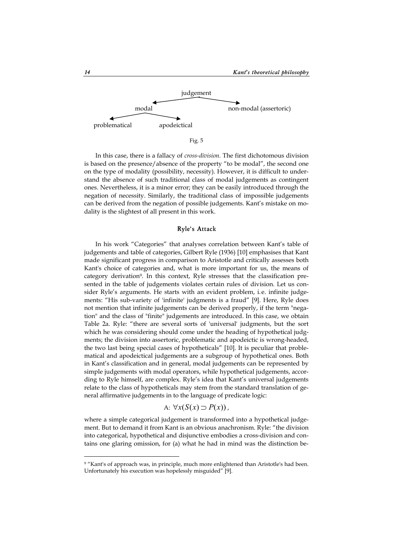

Fig. 5

In this case, there is a fallacy of *cross-division.* The first dichotomous division is based on the presence/absence of the property "to be modal", the second one on the type of modality (possibility, necessity). However, it is difficult to understand the absence of such traditional class of modal judgements as contingent ones. Nevertheless, it is a minor error; they can be easily introduced through the negation of necessity. Similarly, the traditional class of impossible judgements can be derived from the negation of possible judgements. Kant's mistake on modality is the slightest of all present in this work.

# **Ryle's Attack**

In his work "Categories" that analyses correlation between Kant's table of judgements and table of categories, Gilbert Ryle (1936) [10] emphasises that Kant made significant progress in comparison to Aristotle and critically assesses both Kant's choice of categories and, what is more important for us, the means of category derivation9. In this context, Ryle stresses that the classification presented in the table of judgements violates certain rules of division. Let us consider Ryle's arguments. He starts with an evident problem, i. e. infinite judgements: "His sub-variety of 'infinite' judgments is a fraud" [9]. Here, Ryle does not mention that infinite judgements can be derived properly, if the term "negation" and the class of "finite" judgements are introduced. In this case, we obtain Table 2a. Ryle: "there are several sorts of 'universal' judgments, but the sort which he was considering should come under the heading of hypothetical judgments; the division into assertoric, problematic and apodeictic is wrong-headed, the two last being special cases of hypotheticals" [10]. It is peculiar that problematical and apodeictical judgements are a subgroup of hypothetical ones. Both in Kant's classification and in general, modal judgements can be represented by simple judgements with modal operators, while hypothetical judgements, according to Ryle himself, are complex. Ryle's idea that Kant's universal judgements relate to the class of hypotheticals may stem from the standard translation of general affirmative judgements in to the language of predicate logic:

A: 
$$
\forall x(S(x) \supset P(x))
$$
,

where a simple categorical judgement is transformed into a hypothetical judgement. But to demand it from Kant is an obvious anachronism. Ryle: "the division into categorical, hypothetical and disjunctive embodies a cross-division and contains one glaring omission, for (a) what he had in mind was the distinction be-

<sup>9 &</sup>quot;Kant's of approach was, in principle, much more enlightened than Aristotle's had been. Unfortunately his execution was hopelessly misguided" [9].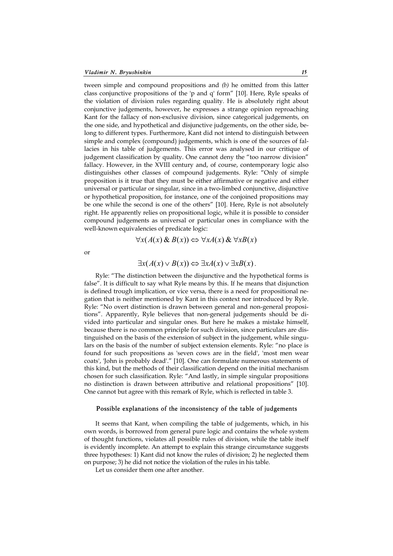tween simple and compound propositions and *(b)* he omitted from this latter class conjunctive propositions of the 'p and q' form" [10]. Here, Ryle speaks of the violation of division rules regarding quality. He is absolutely right about conjunctive judgements, however, he expresses a strange opinion reproaching Kant for the fallacy of non-exclusive division, since categorical judgements, on the one side, and hypothetical and disjunctive judgements, on the other side, belong to different types. Furthermore, Kant did not intend to distinguish between simple and complex (compound) judgements, which is one of the sources of fallacies in his table of judgements. This error was analysed in our critique of judgement classification by quality. One cannot deny the "too narrow division" fallacy. However, in the XVIII century and, of course, contemporary logic also distinguishes other classes of compound judgements. Ryle: "Only of simple proposition is it true that they must be either affirmative or negative and either universal or particular or singular, since in a two-limbed conjunctive, disjunctive or hypothetical proposition, for instance, one of the conjoined propositions may be one while the second is one of the others" [10]. Here, Ryle is not absolutely right. He apparently relies on propositional logic, while it is possible to consider compound judgements as universal or particular ones in compliance with the well-known equivalencies of predicate logic:

$$
\forall x (A(x) \& B(x)) \Leftrightarrow \forall x A(x) \& \forall x B(x)
$$

or

$$
\exists x (A(x) \vee B(x)) \Leftrightarrow \exists x A(x) \vee \exists x B(x).
$$

Ryle: "The distinction between the disjunctive and the hypothetical forms is false". It is difficult to say what Ryle means by this. If he means that disjunction is defined trough implication, or vice versa, there is a need for propositional negation that is neither mentioned by Kant in this context nor introduced by Ryle. Ryle: "No overt distinction is drawn between general and non-general propositions". Apparently, Ryle believes that non-general judgements should be divided into particular and singular ones. But here he makes a mistake himself, because there is no common principle for such division, since particulars are distinguished on the basis of the extension of subject in the judgement, while singulars on the basis of the number of subject extension elements. Ryle: "no place is found for such propositions as 'seven cows are in the field', 'most men wear coats', 'John is probably dead'." [10]. One can formulate numerous statements of this kind, but the methods of their classification depend on the initial mechanism chosen for such classification. Ryle: "And lastly, in simple singular propositions no distinction is drawn between attributive and relational propositions" [10]. One cannot but agree with this remark of Ryle, which is reflected in table 3.

# **Possible explanations of the inconsistency of the table of judgements**

It seems that Kant, when compiling the table of judgements, which, in his own words, is borrowed from general pure logic and contains the whole system of thought functions, violates all possible rules of division, while the table itself is evidently incomplete. An attempt to explain this strange circumstance suggests three hypotheses: 1) Kant did not know the rules of division; 2) he neglected them on purpose; 3) he did not notice the violation of the rules in his table.

Let us consider them one after another.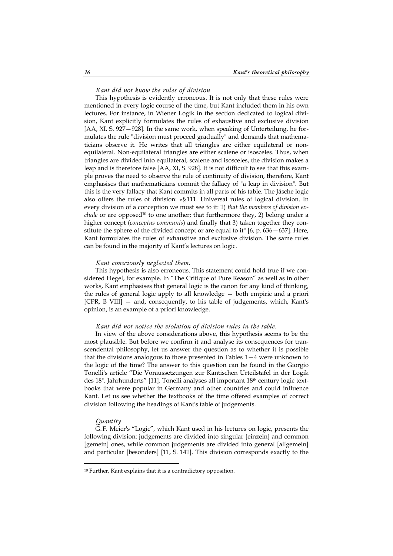### *Kant did not know the rules of division*

This hypothesis is evidently erroneous. It is not only that these rules were mentioned in every logic course of the time, but Kant included them in his own lectures. For instance, in Wiener Logik in the section dedicated to logical division, Kant explicitly formulates the rules of exhaustive and exclusive division [AA, XI, S. 927—928]. In the same work, when speaking of Unterteilung, he formulates the rule "division must proceed gradually" and demands that mathematicians observe it. He writes that all triangles are either equilateral or nonequilateral. Non-equilateral triangles are either scalene or isosceles. Thus, when triangles are divided into equilateral, scalene and isosceles, the division makes a leap and is therefore false [AA, XI, S. 928]. It is not difficult to see that this example proves the need to observe the rule of continuity of division, therefore, Kant emphasises that mathematicians commit the fallacy of "a leap in division". But this is the very fallacy that Kant commits in all parts of his table. The Jäsche logic also offers the rules of division: «§ 111. Universal rules of logical division. In every division of a conception we must see to it: 1) *that the members of division exclude* or are opposed<sup>10</sup> to one another; that furthermore they, 2) belong under a higher concept (*conceptus communis*) and finally that 3) taken together they constitute the sphere of the divided concept or are equal to it" [6, p. 636—637]. Here, Kant formulates the rules of exhaustive and exclusive division. The same rules can be found in the majority of Kant's lectures on logic.

### *Kant consciously neglected them.*

This hypothesis is also erroneous. This statement could hold true if we considered Hegel, for example. In "The Critique of Pure Reason" as well as in other works, Kant emphasises that general logic is the canon for any kind of thinking, the rules of general logic apply to all knowledge — both empiric and a priori [CPR, B VIII] — and, consequently, to his table of judgements, which, Kant's opinion, is an example of a priori knowledge.

# *Kant did not notice the violation of division rules in the table.*

In view of the above considerations above, this hypothesis seems to be the most plausible. But before we confirm it and analyse its consequences for transcendental philosophy, let us answer the question as to whether it is possible that the divisions analogous to those presented in Tables 1—4 were unknown to the logic of the time? The answer to this question can be found in the Giorgio Tonelli's article "Die Voraussetzungen zur Kantischen Urteilstafel in der Logik des 18". Jahrhunderts" [11]. Tonelli analyses all important 18th century logic textbooks that were popular in Germany and other countries and could influence Kant. Let us see whether the textbooks of the time offered examples of correct division following the headings of Kant's table of judgements.

#### *Quantity*

 $\overline{a}$ 

G.F. Meier's "Logic", which Kant used in his lectures on logic, presents the following division: judgements are divided into singular [einzeln] and common [gemein] ones, while common judgements are divided into general [allgemein] and particular [besonders] [11, S. 141]. This division corresponds exactly to the

<sup>10</sup> Further, Kant explains that it is a contradictory opposition.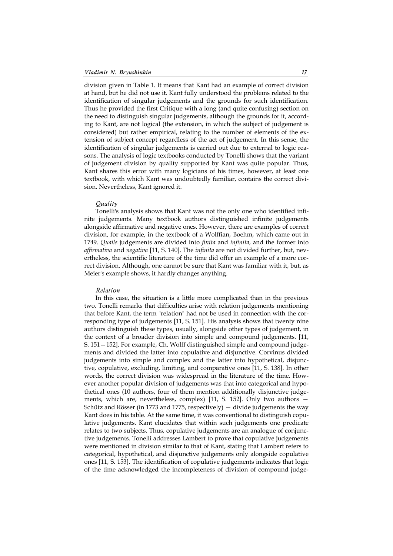division given in Table 1. It means that Kant had an example of correct division at hand, but he did not use it. Kant fully understood the problems related to the identification of singular judgements and the grounds for such identification. Thus he provided the first Critique with a long (and quite confusing) section on the need to distinguish singular judgements, although the grounds for it, according to Kant, are not logical (the extension, in which the subject of judgement is considered) but rather empirical, relating to the number of elements of the extension of subject concept regardless of the act of judgement. In this sense, the identification of singular judgements is carried out due to external to logic reasons. The analysis of logic textbooks conducted by Tonelli shows that the variant of judgement division by quality supported by Kant was quite popular. Thus, Kant shares this error with many logicians of his times, however, at least one textbook, with which Kant was undoubtedly familiar, contains the correct division. Nevertheless, Kant ignored it.

# *Quality*

Tonelli's analysis shows that Kant was not the only one who identified infinite judgements. Many textbook authors distinguished infinite judgements alongside affirmative and negative ones. However, there are examples of correct division, for example, in the textbook of a Wolffian, Boehm, which came out in 1749. *Quails* judgements are divided into *finita* and *infinita*, and the former into *affirmativa* and *negativa* [11, S. 140]. The *infinita* are not divided further, but, nevertheless, the scientific literature of the time did offer an example of a more correct division. Although, one cannot be sure that Kant was familiar with it, but, as Meier's example shows, it hardly changes anything.

### *Relation*

In this case, the situation is a little more complicated than in the previous two. Tonelli remarks that difficulties arise with relation judgements mentioning that before Kant, the term "relation" had not be used in connection with the corresponding type of judgements [11, S. 151]. His analysis shows that twenty nine authors distinguish these types, usually, alongside other types of judgement, in the context of a broader division into simple and compound judgements. [11, S. 151—152]. For example, Ch. Wolff distinguished simple and compound judgements and divided the latter into copulative and disjunctive. Corvinus divided judgements into simple and complex and the latter into hypothetical, disjunctive, copulative, excluding, limiting, and comparative ones [11, S. 138]. In other words, the correct division was widespread in the literature of the time. However another popular division of judgements was that into categorical and hypothetical ones (10 authors, four of them mention additionally disjunctive judgements, which are, nevertheless, complex) [11, S. 152]. Only two authors — Schütz and Rösser (in 1773 and 1775, respectively) — divide judgements the way Kant does in his table. At the same time, it was conventional to distinguish copulative judgements. Kant elucidates that within such judgements one predicate relates to two subjects. Thus, copulative judgements are an analogue of conjunctive judgements. Tonelli addresses Lambert to prove that copulative judgements were mentioned in division similar to that of Kant, stating that Lambert refers to categorical, hypothetical, and disjunctive judgements only alongside copulative ones [11, S. 153]. The identification of copulative judgements indicates that logic of the time acknowledged the incompleteness of division of compound judge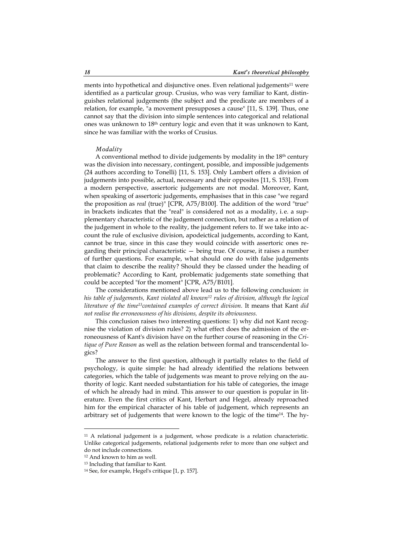ments into hypothetical and disjunctive ones. Even relational judgements<sup>11</sup> were identified as a particular group. Crusius, who was very familiar to Kant, distinguishes relational judgements (the subject and the predicate are members of a relation, for example, "a movement presupposes a cause" [11, S. 139]. Thus, one cannot say that the division into simple sentences into categorical and relational ones was unknown to 18th century logic and even that it was unknown to Kant, since he was familiar with the works of Crusius.

# *Modality*

A conventional method to divide judgements by modality in the 18<sup>th</sup> century was the division into necessary, contingent, possible, and impossible judgements (24 authors according to Tonelli) [11, S. 153]. Only Lambert offers a division of judgements into possible, actual, necessary and their opposites [11, S. 153]. From a modern perspective, assertoric judgements are not modal. Moreover, Kant, when speaking of assertoric judgements, emphasises that in this case "we regard the proposition as *real* (true)" [CPR, A75/B100]. The addition of the word "true" in brackets indicates that the "real" is considered not as a modality, i. e. a supplementary characteristic of the judgement connection, but rather as a relation of the judgement in whole to the reality, the judgement refers to. If we take into account the rule of exclusive division, apodeictical judgements, according to Kant, cannot be true, since in this case they would coincide with assertoric ones regarding their principal characteristic — being true. Of course, it raises a number of further questions. For example, what should one do with false judgements that claim to describe the reality? Should they be classed under the heading of problematic? According to Kant, problematic judgements state something that could be accepted "for the moment" [CPR, A75/B101].

The considerations mentioned above lead us to the following conclusion: *in his table of judgements, Kant violated all known12 rules of division, although the logical literature of the time13contained examples of correct division.* It means that Kant *did not realise the erroneousness of his divisions, despite its obviousness.* 

This conclusion raises two interesting questions: 1) why did not Kant recognise the violation of division rules? 2) what effect does the admission of the erroneousness of Kant's division have on the further course of reasoning in the *Critique of Pure Reason* as well as the relation between formal and transcendental logics?

The answer to the first question, although it partially relates to the field of psychology, is quite simple: he had already identified the relations between categories, which the table of judgements was meant to prove relying on the authority of logic. Kant needed substantiation for his table of categories, the image of which he already had in mind. This answer to our question is popular in literature. Even the first critics of Kant, Herbart and Hegel, already reproached him for the empirical character of his table of judgement, which represents an arbitrary set of judgements that were known to the logic of the time14. The hy-

<sup>11</sup> A relational judgement is a judgement, whose predicate is a relation characteristic. Unlike categorical judgements, relational judgements refer to more than one subject and do not include connections.

<sup>12</sup> And known to him as well.

<sup>13</sup> Including that familiar to Kant.

<sup>14</sup> See, for example, Hegel's critique [1, p. 157].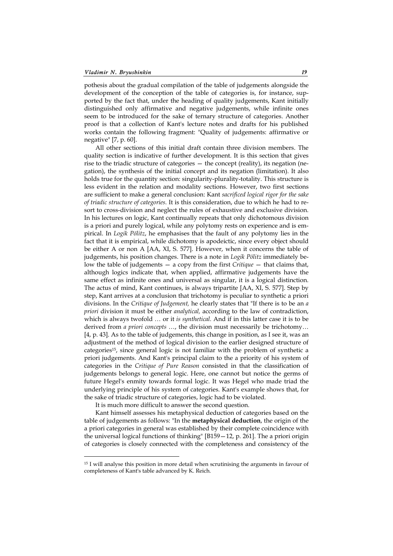pothesis about the gradual compilation of the table of judgements alongside the development of the conception of the table of categories is, for instance, supported by the fact that, under the heading of quality judgements, Kant initially distinguished only affirmative and negative judgements, while infinite ones seem to be introduced for the sake of ternary structure of categories. Another proof is that a collection of Kant's lecture notes and drafts for his published works contain the following fragment: "Quality of judgements: affirmative or negative" [7, p. 60].

All other sections of this initial draft contain three division members. The quality section is indicative of further development. It is this section that gives rise to the triadic structure of categories — the concept (reality), its negation (negation), the synthesis of the initial concept and its negation (limitation). It also holds true for the quantity section: singularity-plurality-totality. This structure is less evident in the relation and modality sections. However, two first sections are sufficient to make a general conclusion: Kant *sacrificed logical rigor for the sake of triadic structure of categories.* It is this consideration, due to which he had to resort to cross-division and neglect the rules of exhaustive and exclusive division. In his lectures on logic, Kant continually repeats that only dichotomous division is a priori and purely logical, while any polytomy rests on experience and is empirical. In *Logik Pölitz*, he emphasises that the fault of any polytomy lies in the fact that it is empirical, while dichotomy is apodeictic, since every object should be either A or non A [AA, XI, S. 577]. However, when it concerns the table of judgements, his position changes. There is a note in *Logik Pölitz* immediately below the table of judgements — a copy from the first *Critique* — that claims that, although logics indicate that, when applied, affirmative judgements have the same effect as infinite ones and universal as singular, it is a logical distinction. The actus of mind, Kant continues, is always tripartite [AA, XI, S. 577]. Step by step, Kant arrives at a conclusion that trichotomy is peculiar to synthetic a priori divisions. In the *Critique of Judgement,* he clearly states that "If there is to be an *a priori* division it must be either *analytical,* according to the law of contradiction, which is always twofold *…* or it *is synthetical.* And if in this latter case it is to be derived from *a priori concepts* …, the division must necessarily be trichotomy… [4, p. 43]. As to the table of judgements, this change in position, as I see it, was an adjustment of the method of logical division to the earlier designed structure of categories15, since general logic is not familiar with the problem of synthetic a priori judgements. And Kant's principal claim to the a priority of his system of categories in the *Critique of Pure Reason* consisted in that the classification of judgements belongs to general logic. Here, one cannot but notice the germs of future Hegel's enmity towards formal logic. It was Hegel who made triad the underlying principle of his system of categories. Kant's example shows that, for the sake of triadic structure of categories, logic had to be violated.

It is much more difficult to answer the second question.

 $\overline{a}$ 

Kant himself assesses his metaphysical deduction of categories based on the table of judgements as follows: "In the **metaphysical deduction**, the origin of the a priori categories in general was established by their complete coincidence with the universal logical functions of thinking" [B159—12, p. 261]. The a priori origin of categories is closely connected with the completeness and consistency of the

<sup>15</sup> I will analyse this position in more detail when scrutinising the arguments in favour of completeness of Kant's table advanced by K. Reich.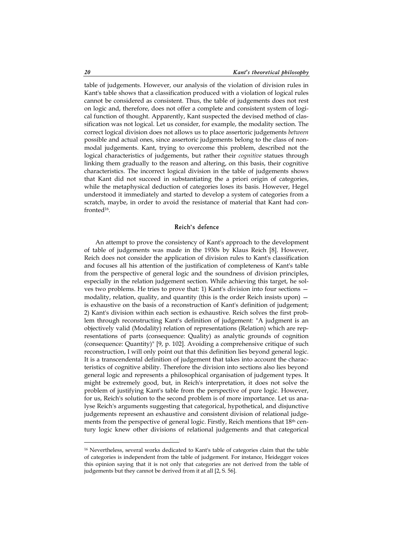table of judgements. However, our analysis of the violation of division rules in Kant's table shows that a classification produced with a violation of logical rules cannot be considered as consistent. Thus, the table of judgements does not rest on logic and, therefore, does not offer a complete and consistent system of logical function of thought. Apparently, Kant suspected the devised method of classification was not logical. Let us consider, for example, the modality section. The correct logical division does not allows us to place assertoric judgements *between* possible and actual ones, since assertoric judgements belong to the class of nonmodal judgements. Kant, trying to overcome this problem, described not the logical characteristics of judgements, but rather their *cognitive* statues through linking them gradually to the reason and altering, on this basis, their cognitive characteristics. The incorrect logical division in the table of judgements shows that Kant did not succeed in substantiating the a priori origin of categories, while the metaphysical deduction of categories loses its basis. However, Hegel understood it immediately and started to develop a system of categories from a scratch, maybe, in order to avoid the resistance of material that Kant had confronted16.

# **Reich's defence**

An attempt to prove the consistency of Kant's approach to the development of table of judgements was made in the 1930s by Klaus Reich [8]. However, Reich does not consider the application of division rules to Kant's classification and focuses all his attention of the justification of completeness of Kant's table from the perspective of general logic and the soundness of division principles, especially in the relation judgement section. While achieving this target, he solves two problems. He tries to prove that: 1) Kant's division into four sections modality, relation, quality, and quantity (this is the order Reich insists upon) is exhaustive on the basis of a reconstruction of Kant's definition of judgement; 2) Kant's division within each section is exhaustive. Reich solves the first problem through reconstructing Kant's definition of judgement: "A judgment is an objectively valid (Modality) relation of representations (Relation) which are representations of parts (consequence: Quality) as analytic grounds of cognition (consequence: Quantity)" [9, p. 102]. Avoiding a comprehensive critique of such reconstruction, I will only point out that this definition lies beyond general logic. It is a transcendental definition of judgement that takes into account the characteristics of cognitive ability. Therefore the division into sections also lies beyond general logic and represents a philosophical organisation of judgement types. It might be extremely good, but, in Reich's interpretation, it does not solve the problem of justifying Kant's table from the perspective of pure logic. However, for us, Reich's solution to the second problem is of more importance. Let us analyse Reich's arguments suggesting that categorical, hypothetical, and disjunctive judgements represent an exhaustive and consistent division of relational judgements from the perspective of general logic. Firstly, Reich mentions that 18<sup>th</sup> century logic knew other divisions of relational judgements and that categorical

<sup>16</sup> Nevertheless, several works dedicated to Kant's table of categories claim that the table of categories is independent from the table of judgement. For instance, Heidegger voices this opinion saying that it is not only that categories are not derived from the table of judgements but they cannot be derived from it at all [2, S. 56].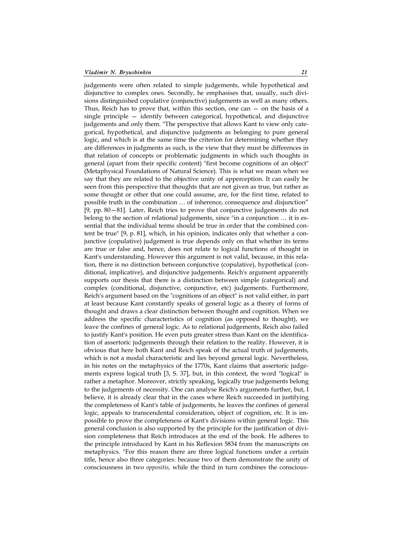judgements were often related to simple judgements, while hypothetical and disjunctive to complex ones. Secondly, he emphasises that, usually, such divisions distinguished copulative (conjunctive) judgements as well as many others. Thus, Reich has to prove that, within this section, one can  $-$  on the basis of a single principle — identify between categorical, hypothetical, and disjunctive judgements and only them. "The perspective that allows Kant to view only categorical, hypothetical, and disjunctive judgments as belonging to pure general logic, and which is at the same time the criterion for determining whether they are differences in judgments as such, is the view that they must be differences in that relation of concepts or problematic judgments in which such thoughts in general (apart from their specific content) "first become cognitions of an object" (Metaphysical Foundations of Natural Science). This is what we mean when we say that they are related to the objective unity of apperception. It can easily be seen from this perspective that thoughts that are not given as true, but rather as some thought or other that one could assume, are, for the first time, related to possible truth in the combination … of inherence, consequence and disjunction" [9, pp. 80—81]. Later, Reich tries to prove that conjunctive judgements do not belong to the section of relational judgements, since "in a conjunction … it is essential that the individual terms should be true in order that the combined content be true" [9, p. 81], which, in his opinion, indicates only that whether a conjunctive (copulative) judgement is true depends only on that whether its terms are true or false and, hence, does not relate to logical functions of thought in Kant's understanding. However this argument is not valid, because, in this relation, there is no distinction between conjunctive (copulative), hypothetical (conditional, implicative), and disjunctive judgements. Reich's argument apparently supports our thesis that there is a distinction between simple (categorical) and complex (conditional, disjunctive, conjunctive, etc) judgements. Furthermore, Reich's argument based on the "cognitions of an object" is not valid either, in part at least because Kant constantly speaks of general logic as a theory of forms of thought and draws a clear distinction between thought and cognition. When we address the specific characteristics of cognition (as opposed to thought), we leave the confines of general logic. As to relational judgements, Reich also failed to justify Kant's position. He even puts greater stress than Kant on the identification of assertoric judgements through their relation to the reality. However, it is obvious that here both Kant and Reich speak of the actual truth of judgements, which is not a modal characteristic and lies beyond general logic. Nevertheless, in his notes on the metaphysics of the 1770s, Kant claims that assertoric judgements express logical truth [3, S. 37], but, in this context, the word "logical" is rather a metaphor. Moreover, strictly speaking, logically true judgements belong to the judgements of necessity. One can analyse Reich's arguments further, but, I believe, it is already clear that in the cases where Reich succeeded in justifying the completeness of Kant's table of judgements, he leaves the confines of general logic, appeals to transcendental consideration, object of cognition, etc. It is impossible to prove the completeness of Kant's divisions within general logic. This general conclusion is also supported by the principle for the justification of division completeness that Reich introduces at the end of the book. He adheres to the principle introduced by Kant in his Reflexion 5834 from the manuscripts on metaphysics. "For this reason there are three logical functions under a certain title, hence also three categories: because two of them demonstrate the unity of consciousness in two *oppositis,* while the third in turn combines the conscious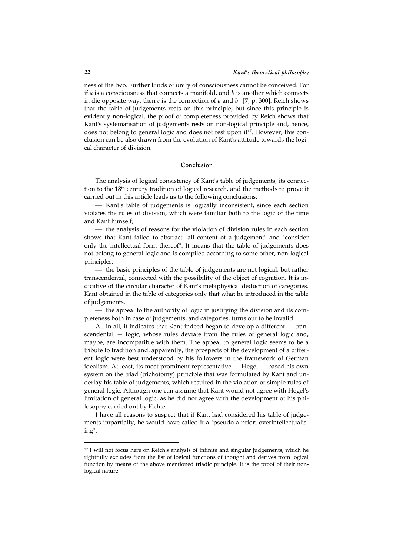ness of the two. Further kinds of unity of consciousness cannot be conceived. For if *a* is a consciousness that connects a manifold, and *b* is another which connects in die opposite way, then *c* is the connection of *a* and *b"* [7, p. 300]. Reich shows that the table of judgements rests on this principle, but since this principle is evidently non-logical, the proof of completeness provided by Reich shows that Kant's systematisation of judgements rests on non-logical principle and, hence, does not belong to general logic and does not rest upon it<sup>17</sup>. However, this conclusion can be also drawn from the evolution of Kant's attitude towards the logical character of division.

### **Conclusion**

The analysis of logical consistency of Kant's table of judgements, its connection to the 18th century tradition of logical research, and the methods to prove it carried out in this article leads us to the following conclusions:

 Kant's table of judgements is logically inconsistent, since each section violates the rules of division, which were familiar both to the logic of the time and Kant himself;

 $-$  the analysis of reasons for the violation of division rules in each section shows that Kant failed to abstract "all content of a judgement" and "consider only the intellectual form thereof". It means that the table of judgements does not belong to general logic and is compiled according to some other, non-logical principles;

 $\frac{1}{\sqrt{1-\frac{1}{\sqrt{1-\frac{1}{\sqrt{1-\frac{1}{\sqrt{1-\frac{1}{\sqrt{1-\frac{1}{\sqrt{1-\frac{1}{\sqrt{1-\frac{1}{\sqrt{1-\frac{1}{\sqrt{1-\frac{1}{\sqrt{1-\frac{1}{\sqrt{1-\frac{1}{\sqrt{1-\frac{1}{\sqrt{1-\frac{1}{\sqrt{1-\frac{1}{\sqrt{1-\frac{1}{\sqrt{1-\frac{1}{\sqrt{1-\frac{1}{\sqrt{1-\frac{1}{\sqrt{1-\frac{1}{\sqrt{1-\frac{1}{\sqrt{1-\frac{1}{\sqrt{1-\frac{1}{\sqrt{1-\frac{1}{\sqrt{1-\frac{1$ transcendental, connected with the possibility of the object of cognition. It is indicative of the circular character of Kant's metaphysical deduction of categories. Kant obtained in the table of categories only that what he introduced in the table of judgements.

 $-$  the appeal to the authority of logic in justifying the division and its completeness both in case of judgements, and categories, turns out to be invalid.

All in all, it indicates that Kant indeed began to develop a different — transcendental — logic, whose rules deviate from the rules of general logic and, maybe, are incompatible with them. The appeal to general logic seems to be a tribute to tradition and, apparently, the prospects of the development of a different logic were best understood by his followers in the framework of German idealism. At least, its most prominent representative — Hegel — based his own system on the triad (trichotomy) principle that was formulated by Kant and underlay his table of judgements, which resulted in the violation of simple rules of general logic. Although one can assume that Kant would not agree with Hegel's limitation of general logic, as he did not agree with the development of his philosophy carried out by Fichte.

I have all reasons to suspect that if Kant had considered his table of judgements impartially, he would have called it a "pseudo-a priori overintellectualising".

<sup>&</sup>lt;sup>17</sup> I will not focus here on Reich's analysis of infinite and singular judgements, which he rightfully excludes from the list of logical functions of thought and derives from logical function by means of the above mentioned triadic principle. It is the proof of their nonlogical nature.